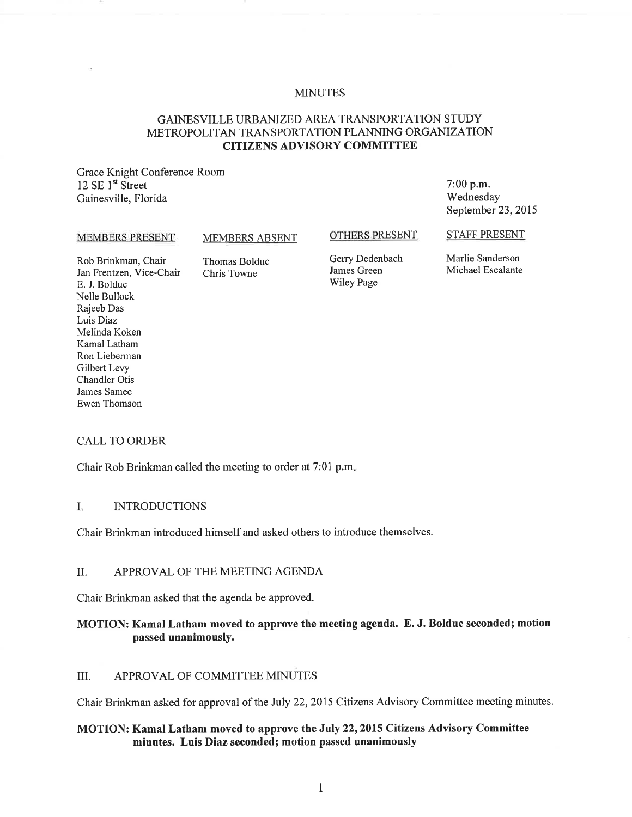#### **MINUTES**

# GAINESVILLE URBANIZED AREA TRANSPORTATION STUDY METROPOLITAN TRANSPORTATION PLANNING ORGANIZATION **CITIZENS ADVISORY COMMITTEE**

Grace Knight Conference Room 12 SE 1<sup>st</sup> Street Gainesville, Florida

#### 7:00 p.m. Wednesday September 23, 2015

#### MEMBERS PRESENT

#### MEMBERS ABSENT

#### OTHERS PRESENT

Rob Brinkman, Chair Jan Frentzen, Vice-Chair E. J. Bolduc Nelle Bullock Rajeeb Das Luis Diaz Melinda Koken Kamal Latham Ron Lieberman Gilbert Levy Chandler Otis James Samec Ewen Thomson

Thomas Bolduc Chris Towne

Gerry Dedenbach James Green Wiley Page

Marlie Sanderson Michael Escalante

STAFF PRESENT

#### CALL TO ORDER

Chair Rob Brinkman called the meeting to order at 7:01 p.m.

# I. INTRODUCTIONS

Chair Brinkman introduced himself and asked others to introduce themselves.

#### II. APPROVAL OF THE MEETING AGENDA

Chair Brinkman asked that the agenda be approved.

### **MOTION: Kamal Latham moved to approve the meeting agenda. E. J. Bolduc seconded; motion passed unanimously.**

#### III. APPROVAL OF COMMITTEE MINUTES

Chair Brinkman asked for approval of the July 22, 2015 Citizens Advisory Committee meeting minutes.

### **MOTION: Kamal Latham moved to approve the July 22, 2015 Citizens Advisory Committee minutes. Luis Diaz seconded; motion passed unanimously**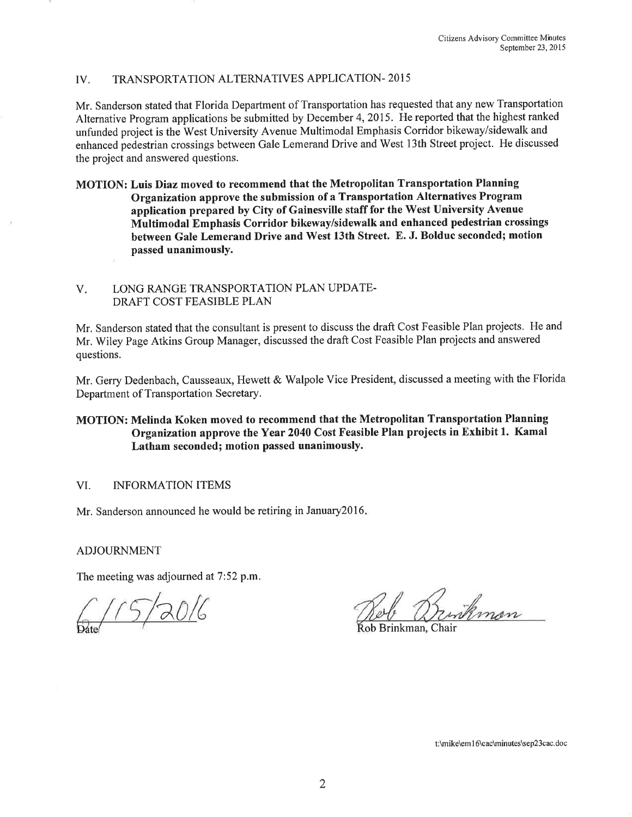# IV. TRANSPORTATION ALTERNATIVES APPLICATION-2015

Mr. Sanderson stated that Florida Department of Transportation has requested that any new Transportation Alternative Program applications be submitted by December 4, 2015. He reported that the highest ranked unfunded project is the West University Avenue Multimodal Emphasis Corridor bikeway/sidewalk and enhanced pedestrian crossings between Gale Lemerand Drive and West 13th Street project. He discussed the project and answered questions.

MOTION: Luis Diaz moved to recommend that the Metropolitan Transportation Planning Organization approve the submission of a Transportation Alternatives Program application prepared by City of Gainesville staff for the West University Avenue Multimodal Emphasis Corridor bikeway/sidewalk and enhanced pedestrian crossings between Gale Lemerand Drive and West 13th Street. E. J. Bolduc seconded; motion passed unanimously.

#### V. LONG RANGE TRANSPORTATION PLAN UPDATE-DRAFT COST FEASIBLE PLAN

Mr. Sanderson stated that the consultant is present to discuss the draft Cost Feasible Plan projects. He and Mr. Wiley Page Atkins Group Manager, discussed the draft Cost Feasible Plan projects and answered questions.

Mr. Gerry Dedenbach, Causseaux, Hewett & Walpole Vice President, discussed a meeting with the Florida Department of Transportation Secretary.

# MOTION: Melinda Koken moved to recommend that the Metropolitan Transportation Planning Organization approve the Year 2040 Cost Feasible Plan projects in Exhibit 1. Kamal Latham seconded; motion passed unanimously.

### VI. INFORMATION ITEMS

Mr. Sanderson announced he would be retiring in January2016.

### ADJOURNMENT

The meeting was adjourned at 7:52 p.m.

 $115/2016$ 

Surtiman

tob Brinkman. Chair

t:\mike\em 16\cac\minutes\sep23cac.doc